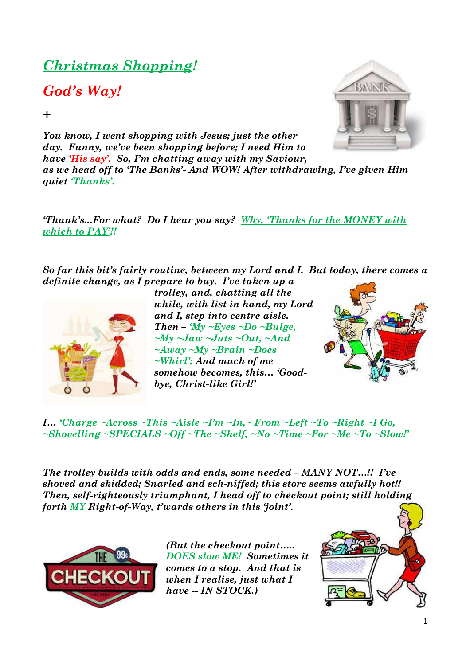## *Christmas Shopping!*

## *God's Way!*

*+* 

*You know, I went shopping with Jesus; just the other day. Funny, we've been shopping before; I need Him to have 'His say'. So, I'm chatting away with my Saviour, as we head off to 'The Banks'- And WOW! After withdrawing, I've given Him quiet 'Thanks'.* 

*'Thank's...For what? Do I hear you say? Why, 'Thanks for the MONEY with which to PAY'!!* 

*So far this bit's fairly routine, between my Lord and I. But today, there comes a definite change, as I prepare to buy. I've taken up a* 



*trolley, and, chatting all the while, with list in hand, my Lord and I, step into centre aisle. Then – 'My ~Eyes ~Do ~Bulge, ~My ~Jaw ~Juts ~Out, ~And ~Away ~My ~Brain ~Does ~Whirl'; And much of me somehow becomes, this… 'Goodbye, Christ-like Girl!'* 



*I… 'Charge ~Across ~This ~Aisle ~I'm ~In,~ From ~Left ~To ~Right ~I Go, ~Shovelling ~SPECIALS ~Off ~The ~Shelf, ~No ~Time ~For ~Me ~To ~Slow!'* 

*The trolley builds with odds and ends, some needed – MANY NOT…!! I've shoved and skidded; Snarled and sch-niffed; this store seems awfully hot!! Then, self-righteously triumphant, I head off to checkout point; still holding forth MY Right-of-Way, t'wards others in this 'joint'.* 



*(But the checkout point….. DOES slow ME! Sometimes it comes to a stop. And that is when I realise, just what I have -- IN STOCK.)* 



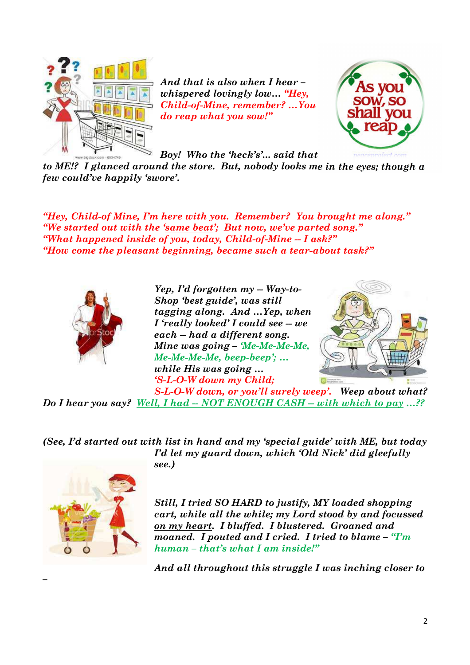

*And that is also when I hear – whispered lovingly low… "Hey, Child-of-Mine, remember? …You do reap what you sow!"* 



*Boy! Who the 'heck's'... said that* 

*to ME!? I glanced around the store. But, nobody looks me in the eyes; though a few could've happily 'swore'.* 

*"Hey, Child-of Mine, I'm here with you. Remember? You brought me along." "We started out with the 'same beat'; But now, we've parted song." "What happened inside of you, today, Child-of-Mine -- I ask?" "How come the pleasant beginning, became such a tear-about task?"* 



*Yep, I'd forgotten my -- Way-to-Shop 'best guide', was still tagging along. And …Yep, when I* 'really looked' I could see -- we *each -- had a different song. Mine was going – 'Me-Me-Me-Me, Me-Me-Me-Me, beep-beep'; … while His was going … 'S-L-O-W down my Child;* 



*S-L-O-W down, or you'll surely weep'. Weep about what? Do I hear you say? Well, I had -- NOT ENOUGH CASH -- with which to pay …??* 

*(See, I'd started out with list in hand and my 'special guide' with ME, but today I'd let my guard down, which 'Old Nick' did gleefully see.)* 



*–* 

*Still, I tried SO HARD to justify, MY loaded shopping cart, while all the while; my Lord stood by and focussed on my heart. I bluffed. I blustered. Groaned and moaned. I pouted and I cried. I tried to blame – "I'm human – that's what I am inside!"* 

*And all throughout this struggle I was inching closer to*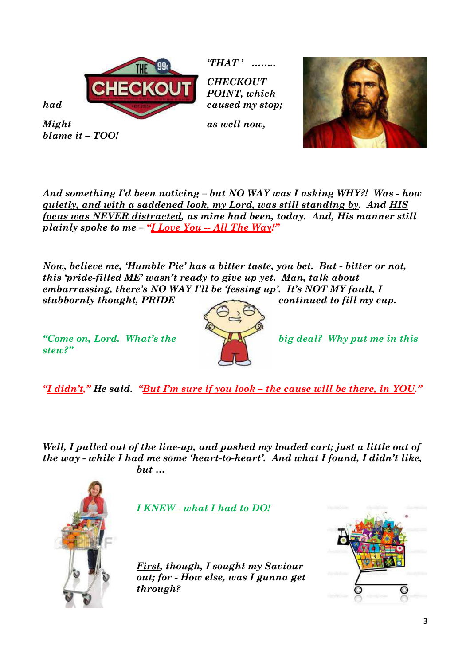

*blame it – TOO!* 

*'THAT ' ……..* 

*CHECKOUT POINT, which* 



*And something I'd been noticing – but NO WAY was I asking WHY?! Was - how quietly, and with a saddened look, my Lord, was still standing by. And HIS focus was NEVER distracted, as mine had been, today. And, His manner still plainly spoke to me – "I Love You -- All The Way!"* 

*Now, believe me, 'Humble Pie' has a bitter taste, you bet. But - bitter or not, this 'pride-filled ME' wasn't ready to give up yet. Man, talk about embarrassing, there's NO WAY I'll be 'fessing up'. It's NOT MY fault, I stubbornly thought, PRIDE continued to fill my cup.*

*stew?"* 



*"Come on, Lord. What's the big deal? Why put me in this* 

*"I didn't," He said. "But I'm sure if you look – the cause will be there, in YOU."* 

*Well, I pulled out of the line-up, and pushed my loaded cart; just a little out of the way - while I had me some 'heart-to-heart'. And what I found, I didn't like, but …* 



*I KNEW - what I had to DO!* 

*First, though, I sought my Saviour out; for - How else, was I gunna get through?* 

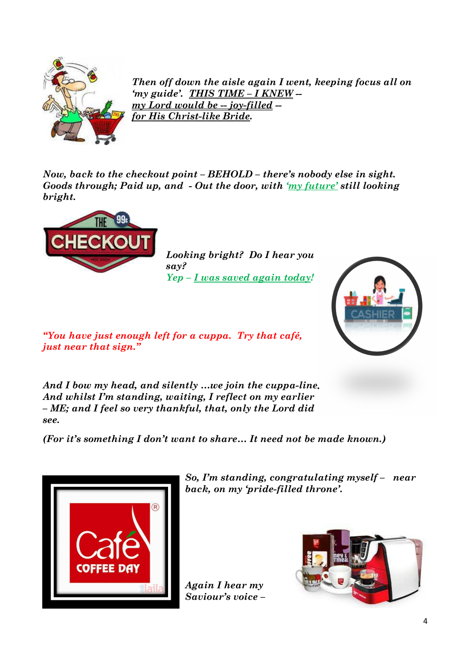

*Then off down the aisle again I went, keeping focus all on 'my guide'. THIS TIME – I KNEW - my Lord would be -- joy-filled - for His Christ-like Bride.* 

*Now, back to the checkout point – BEHOLD – there's nobody else in sight. Goods through; Paid up, and - Out the door, with 'my future' still looking bright.* 



*Looking bright? Do I hear you say? Yep – I was saved again today!*



*"You have just enough left for a cuppa. Try that café, just near that sign."* 

*And I bow my head, and silently …we join the cuppa-line. And whilst I'm standing, waiting, I reflect on my earlier – ME; and I feel so very thankful, that, only the Lord did see.* 

*(For it's something I don't want to share… It need not be made known.)* 



*So, I'm standing, congratulating myself – near back, on my 'pride-filled throne'.* 

*Again I hear my Saviour's voice –* 

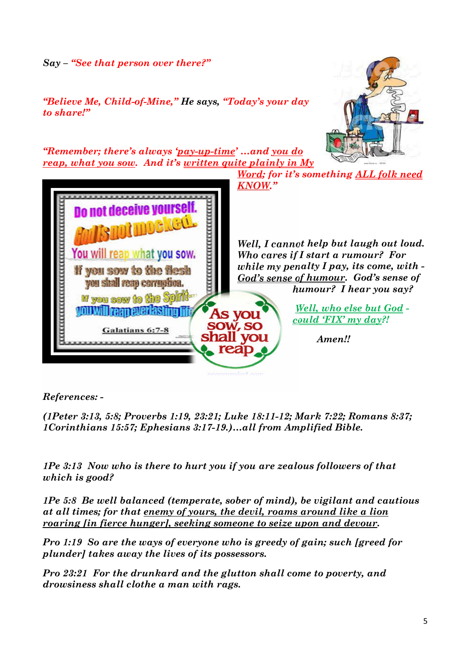*Say – "See that person over there?"* 

*"Believe Me, Child-of-Mine," He says, "Today's your day to share!"* 



*"Remember; there's always 'pay-up-time' …and you do reap, what you sow. And it's written quite plainly in My* 



*Word; for it's something ALL folk need* 

*Well, I cannot help but laugh out loud. Who cares if I start a rumour? For while my penalty I pay, its come, with - God's sense of humour. God's sense of humour? I hear you say?* 

> *Well, who else but God could 'FIX' my day?!*

> > *Amen!!*

*References: -* 

*(1Peter 3:13, 5:8; Proverbs 1:19, 23:21; Luke 18:11-12; Mark 7:22; Romans 8:37; 1Corinthians 15:57; Ephesians 3:17-19.)…all from Amplified Bible.* 

*1Pe 3:13 Now who is there to hurt you if you are zealous followers of that which is good?* 

*1Pe 5:8 Be well balanced (temperate, sober of mind), be vigilant and cautious at all times; for that enemy of yours, the devil, roams around like a lion roaring [in fierce hunger], seeking someone to seize upon and devour.* 

*Pro 1:19 So are the ways of everyone who is greedy of gain; such [greed for plunder] takes away the lives of its possessors.* 

*Pro 23:21 For the drunkard and the glutton shall come to poverty, and drowsiness shall clothe a man with rags.*